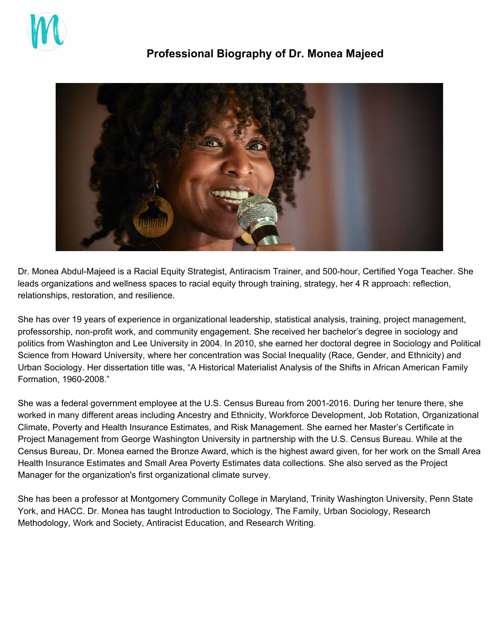

## **Professional Biography of Dr. Monea Majeed**



Dr. Monea Abdul-Majeed is a Racial Equity Strategist, Antiracism Trainer, and 500-hour, Certified Yoga Teacher. She leads organizations and wellness spaces to racial equity through training, strategy, her 4 R approach: reflection, relationships, restoration, and resilience.

She has over 19 years of experience in organizational leadership, statistical analysis, training, project management, professorship, non-profit work, and community engagement. She received her bachelor's degree in sociology and politics from Washington and Lee University in 2004. In 2010, she earned her doctoral degree in Sociology and Political Science from Howard University, where her concentration was Social Inequality (Race, Gender, and Ethnicity) and Urban Sociology. Her dissertation title was, "A Historical Materialist Analysis of the Shifts in African American Family Formation, 1960-2008."

She was a federal government employee at the U.S. Census Bureau from 2001-2016. During her tenure there, she worked in many different areas including Ancestry and Ethnicity, Workforce Development, Job Rotation, Organizational Climate, Poverty and Health Insurance Estimates, and Risk Management. She earned her Master's Certificate in Project Management from George Washington University in partnership with the U.S. Census Bureau. While at the Census Bureau, Dr. Monea earned the Bronze Award, which is the highest award given, for her work on the Small Area Health Insurance Estimates and Small Area Poverty Estimates data collections. She also served as the Project Manager for the organization's first organizational climate survey.

She has been a professor at Montgomery Community College in Maryland, Trinity Washington University, Penn State York, and HACC. Dr. Monea has taught Introduction to Sociology, The Family, Urban Sociology, Research Methodology, Work and Society, Antiracist Education, and Research Writing.